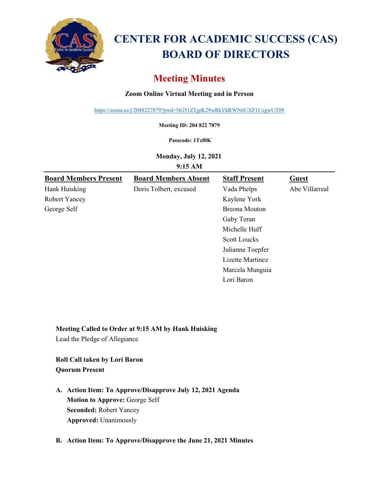

# **CENTER FOR ACADEMIC SUCCESS (CAS) BOARD OF DIRECTORS**

## **Meeting Minutes**

## **Zoom Online Virtual Meeting and in Person**

<https://zoom.us/j/2048227879?pwd=NG51ZTgrK29wRkVkRWN6UXF1UzgwUT09>

**Meeting ID: 204 822 7879**

#### **Passcode: 1Tzf0K**

**Monday, July 12, 2021**

**9:15 AM**

| <b>Board Members Present</b> | <b>Board Members Absent</b> | <b>Staff Present</b> | <b>Guest</b>   |
|------------------------------|-----------------------------|----------------------|----------------|
| Hank Huisking                | Doris Tolbert, excused      | Vada Phelps          | Abe Villarreal |
| <b>Robert Yancey</b>         |                             | Kaylene York         |                |
| George Self                  |                             | Breona Mouton        |                |
|                              |                             | Gaby Teran           |                |
|                              |                             | Michelle Huff        |                |
|                              |                             | <b>Scott Loucks</b>  |                |
|                              |                             | Julianne Toepfer     |                |
|                              |                             | Lizette Martinez     |                |
|                              |                             | Marcela Munguia      |                |
|                              |                             | Lori Baron           |                |

#### **Meeting Called to Order at 9:15 AM by Hank Huisking**

Lead the Pledge of Allegiance

## **Roll Call taken by Lori Baron Quorum Present**

**A. Action Item: To Approve/Disapprove July 12, 2021 Agenda Motion to Approve:** George Self **Seconded:** Robert Yancey **Approved:** Unanimously

### **B. Action Item: To Approve/Disapprove the June 21, 2021 Minutes**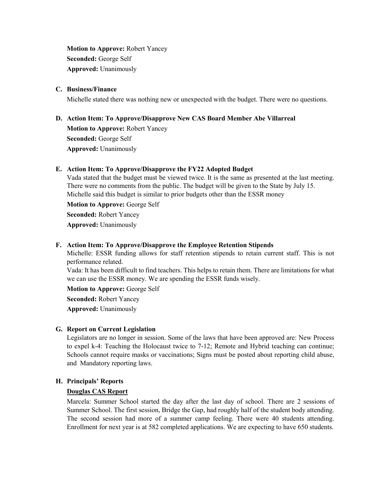**Motion to Approve:** Robert Yancey **Seconded:** George Self **Approved:** Unanimously

#### **C. Business/Finance**

Michelle stated there was nothing new or unexpected with the budget. There were no questions.

## **D. Action Item: To Approve/Disapprove New CAS Board Member Abe Villarreal Motion to Approve:** Robert Yancey **Seconded:** George Self **Approved:** Unanimously

#### **E. Action Item: To Approve/Disapprove the FY22 Adopted Budget**

Vada stated that the budget must be viewed twice. It is the same as presented at the last meeting. There were no comments from the public. The budget will be given to the State by July 15. Michelle said this budget is similar to prior budgets other than the ESSR money

**Motion to Approve:** George Self

**Seconded:** Robert Yancey

**Approved:** Unanimously

#### **F. Action Item: To Approve/Disapprove the Employee Retention Stipends**

Michelle: ESSR funding allows for staff retention stipends to retain current staff. This is not performance related.

Vada: It has been difficult to find teachers. This helps to retain them. There are limitations for what we can use the ESSR money. We are spending the ESSR funds wisely.

**Motion to Approve:** George Self

**Seconded:** Robert Yancey

**Approved:** Unanimously

#### **G. Report on Current Legislation**

Legislators are no longer in session. Some of the laws that have been approved are: New Process to expel k-4: Teaching the Holocaust twice to 7-12; Remote and Hybrid teaching can continue; Schools cannot require masks or vaccinations; Signs must be posted about reporting child abuse, and Mandatory reporting laws.

#### **H. Principals' Reports**

#### **Douglas CAS Report**

Marcela: Summer School started the day after the last day of school. There are 2 sessions of Summer School. The first session, Bridge the Gap, had roughly half of the student body attending. The second session had more of a summer camp feeling. There were 40 students attending. Enrollment for next year is at 582 completed applications. We are expecting to have 650 students.